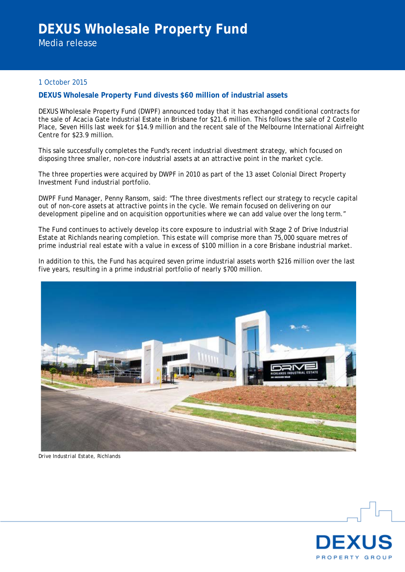Media release

## 1 October 2015

## **DEXUS Wholesale Property Fund divests \$60 million of industrial assets**

DEXUS Wholesale Property Fund (DWPF) announced today that it has exchanged conditional contracts for the sale of Acacia Gate Industrial Estate in Brisbane for \$21.6 million. This follows the sale of 2 Costello Place, Seven Hills last week for \$14.9 million and the recent sale of the Melbourne International Airfreight Centre for \$23.9 million.

This sale successfully completes the Fund's recent industrial divestment strategy, which focused on disposing three smaller, non-core industrial assets at an attractive point in the market cycle.

The three properties were acquired by DWPF in 2010 as part of the 13 asset Colonial Direct Property Investment Fund industrial portfolio.

DWPF Fund Manager, Penny Ransom, said: "The three divestments reflect our strategy to recycle capital out of non-core assets at attractive points in the cycle. We remain focused on delivering on our development pipeline and on acquisition opportunities where we can add value over the long term."

The Fund continues to actively develop its core exposure to industrial with Stage 2 of Drive Industrial Estate at Richlands nearing completion. This estate will comprise more than 75,000 square metres of prime industrial real estate with a value in excess of \$100 million in a core Brisbane industrial market.

In addition to this, the Fund has acquired seven prime industrial assets worth \$216 million over the last five years, resulting in a prime industrial portfolio of nearly \$700 million.



*Drive Industrial Estate, Richlands*